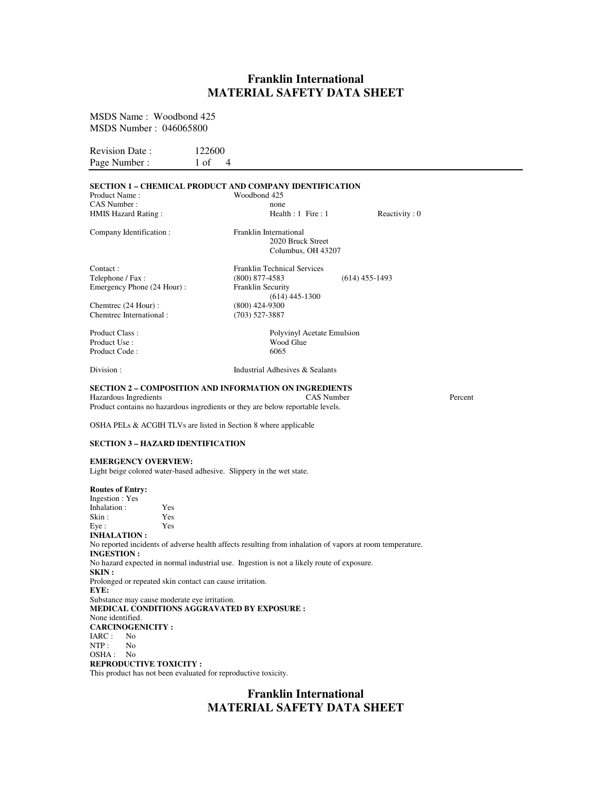# **Franklin International MATERIAL SAFETY DATA SHEET**

MSDS Name : Woodbond 425 MSDS Number : 046065800

Revision Date : 122600 Page Number :  $1 \text{ of } 4$ 

### **SECTION 1 – CHEMICAL PRODUCT AND COMPANY IDENTIFICATION**

| Product Name:                  |                                                                | Woodbond 425                                                                                             |                       |
|--------------------------------|----------------------------------------------------------------|----------------------------------------------------------------------------------------------------------|-----------------------|
| CAS Number :                   |                                                                | none                                                                                                     |                       |
| HMIS Hazard Rating:            |                                                                | Health : $1$ Fire : $1$                                                                                  | Reactivity: 0         |
| Company Identification :       |                                                                | Franklin International<br>2020 Bruck Street                                                              |                       |
|                                |                                                                | Columbus, OH 43207                                                                                       |                       |
| Contact:                       |                                                                | <b>Franklin Technical Services</b>                                                                       |                       |
| Telephone / Fax:               |                                                                | $(800)$ 877-4583                                                                                         | $(614)$ 455-1493      |
| Emergency Phone (24 Hour):     |                                                                | <b>Franklin Security</b><br>$(614)$ 445-1300                                                             |                       |
| Chemtrec (24 Hour):            |                                                                | $(800)$ 424-9300                                                                                         |                       |
| Chemtrec International:        |                                                                | $(703)$ 527-3887                                                                                         |                       |
| Product Class:                 |                                                                | Polyvinyl Acetate Emulsion                                                                               |                       |
| Product Use :                  |                                                                | Wood Glue                                                                                                |                       |
| Product Code:                  |                                                                | 6065                                                                                                     |                       |
| Division:                      |                                                                | Industrial Adhesives & Sealants                                                                          |                       |
|                                |                                                                | <b>SECTION 2 – COMPOSITION AND INFORMATION ON INGREDIENTS</b>                                            |                       |
| Hazardous Ingredients          |                                                                |                                                                                                          | CAS Number<br>Percent |
|                                |                                                                | Product contains no hazardous ingredients or they are below reportable levels.                           |                       |
|                                |                                                                | OSHA PELs & ACGIH TLVs are listed in Section 8 where applicable                                          |                       |
|                                | SECTION 3 – HAZARD IDENTIFICATION                              |                                                                                                          |                       |
| <b>EMERGENCY OVERVIEW:</b>     |                                                                |                                                                                                          |                       |
|                                |                                                                | Light beige colored water-based adhesive. Slippery in the wet state.                                     |                       |
| <b>Routes of Entry:</b>        |                                                                |                                                                                                          |                       |
| Ingestion : Yes                |                                                                |                                                                                                          |                       |
| Inhalation:                    | Yes                                                            |                                                                                                          |                       |
| Skin :                         | Yes                                                            |                                                                                                          |                       |
| Eye :<br><b>INHALATION:</b>    | Yes                                                            |                                                                                                          |                       |
| <b>INGESTION:</b>              |                                                                | No reported incidents of adverse health affects resulting from inhalation of vapors at room temperature. |                       |
| SKIN :                         |                                                                | No hazard expected in normal industrial use. Ingestion is not a likely route of exposure.                |                       |
|                                | Prolonged or repeated skin contact can cause irritation.       |                                                                                                          |                       |
| EYE:                           |                                                                |                                                                                                          |                       |
|                                | Substance may cause moderate eye irritation.                   |                                                                                                          |                       |
|                                |                                                                | <b>MEDICAL CONDITIONS AGGRAVATED BY EXPOSURE :</b>                                                       |                       |
| None identified.               |                                                                |                                                                                                          |                       |
| <b>CARCINOGENICITY:</b>        |                                                                |                                                                                                          |                       |
| IARC :<br>No<br>N <sub>0</sub> |                                                                |                                                                                                          |                       |
| NTP :<br>OSHA :<br>No          |                                                                |                                                                                                          |                       |
| <b>REPRODUCTIVE TOXICITY :</b> |                                                                |                                                                                                          |                       |
|                                | This product has not been evaluated for reproductive toxicity. |                                                                                                          |                       |
|                                |                                                                |                                                                                                          |                       |

# **Franklin International MATERIAL SAFETY DATA SHEET**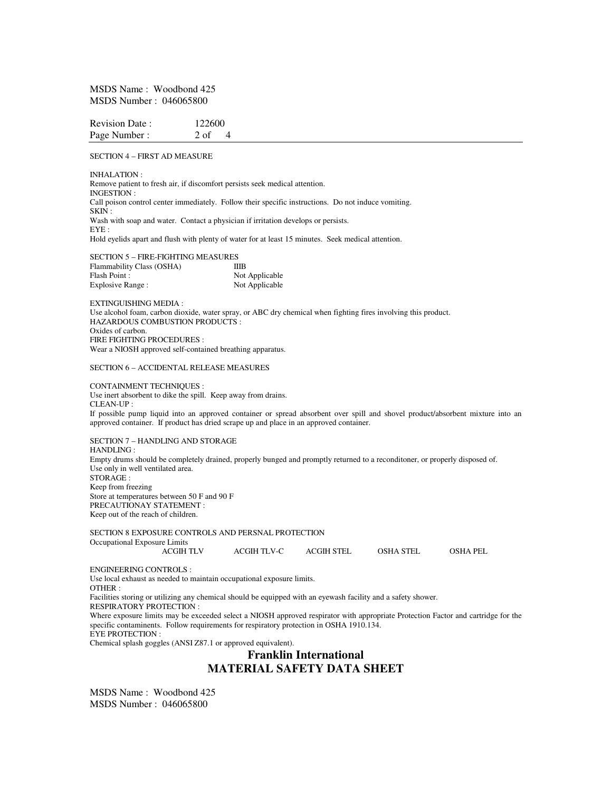MSDS Name : Woodbond 425 MSDS Number : 046065800

| <b>Revision Date:</b> | 122600 |
|-----------------------|--------|
| Page Number:          | 2 of   |

SECTION 4 – FIRST AD MEASURE

INHALATION : Remove patient to fresh air, if discomfort persists seek medical attention. INGESTION : Call poison control center immediately. Follow their specific instructions. Do not induce vomiting. SKIN : Wash with soap and water. Contact a physician if irritation develops or persists. EYE : Hold eyelids apart and flush with plenty of water for at least 15 minutes. Seek medical attention.

SECTION 5 – FIRE-FIGHTING MEASURES Flammability Class (OSHA) IIIB Flash Point :<br>
Explosive Range :<br>
Not Applicable<br>
Not Applicable Explosive Range :

EXTINGUISHING MEDIA : Use alcohol foam, carbon dioxide, water spray, or ABC dry chemical when fighting fires involving this product. HAZARDOUS COMBUSTION PRODUCTS : Oxides of carbon. FIRE FIGHTING PROCEDURES : Wear a NIOSH approved self-contained breathing apparatus.

#### SECTION 6 – ACCIDENTAL RELEASE MEASURES

CONTAINMENT TECHNIQUES : Use inert absorbent to dike the spill. Keep away from drains.  $CI$  FAN-UP  $\cdot$ If possible pump liquid into an approved container or spread absorbent over spill and shovel product/absorbent mixture into an approved container. If product has dried scrape up and place in an approved container.

SECTION 7 – HANDLING AND STORAGE HANDLING : Empty drums should be completely drained, properly bunged and promptly returned to a reconditoner, or properly disposed of. Use only in well ventilated area. STORAGE : Keep from freezing Store at temperatures between 50 F and 90 F PRECAUTIONAY STATEMENT : Keep out of the reach of children.

SECTION 8 EXPOSURE CONTROLS AND PERSNAL PROTECTION Occupational Exposure Limits ACGIH TLV ACGIH TLV-C ACGIH STEL OSHA STEL OSHA PEL ENGINEERING CONTROLS : Use local exhaust as needed to maintain occupational exposure limits. OTHER : Facilities storing or utilizing any chemical should be equipped with an eyewash facility and a safety shower. RESPIRATORY PROTECTION :

Where exposure limits may be exceeded select a NIOSH approved respirator with appropriate Protection Factor and cartridge for the specific contaminents. Follow requirements for respiratory protection in OSHA 1910.134. EYE PROTECTION :

Chemical splash goggles (ANSI Z87.1 or approved equivalent).

## **Franklin International MATERIAL SAFETY DATA SHEET**

MSDS Name : Woodbond 425 MSDS Number : 046065800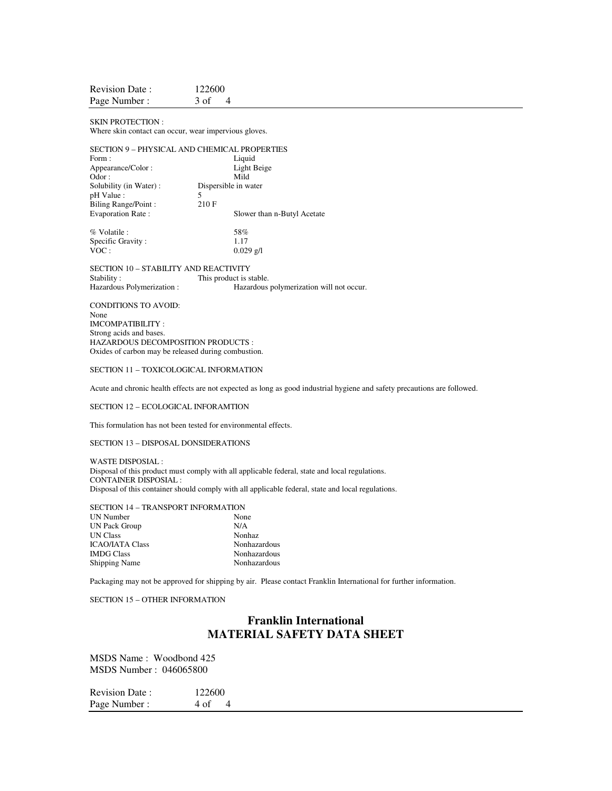| <b>Revision Date:</b> | 122600 |
|-----------------------|--------|
| Page Number:          | 3 of   |

SKIN PROTECTION : Where skin contact can occur, wear impervious gloves.

### SECTION 9 – PHYSICAL AND CHEMICAL PROPERTIES

| Form:                    | Liquid                      |  |
|--------------------------|-----------------------------|--|
| Appearance/Color:        | Light Beige                 |  |
| Odor:                    | Mild                        |  |
| Solubility (in Water):   | Dispersible in water        |  |
| pH Value :               | 5                           |  |
| Biling Range/Point:      | 210 F                       |  |
| <b>Evaporation Rate:</b> | Slower than n-Butyl Acetate |  |
| % Volatile :             | 58%                         |  |
| Specific Gravity:        | 1.17                        |  |
| VOC:                     | $0.029$ g/l                 |  |

SECTION 10 – STABILITY AND REACTIVITY Stability : This product is stable.<br>
Hazardous Polymerization : Hazardous Hazardous polymerization will not occur.

CONDITIONS TO AVOID: None IMCOMPATIBILITY : Strong acids and bases. HAZARDOUS DECOMPOSITION PRODUCTS : Oxides of carbon may be released during combustion.

#### SECTION 11 – TOXICOLOGICAL INFORMATION

Acute and chronic health effects are not expected as long as good industrial hygiene and safety precautions are followed.

SECTION 12 – ECOLOGICAL INFORAMTION

This formulation has not been tested for environmental effects.

SECTION 13 – DISPOSAL DONSIDERATIONS

WASTE DISPOSIAL : Disposal of this product must comply with all applicable federal, state and local regulations. CONTAINER DISPOSIAL : Disposal of this container should comply with all applicable federal, state and local regulations.

SECTION 14 – TRANSPORT INFORMATION

| UN Number            | None         |
|----------------------|--------------|
| <b>UN Pack Group</b> | N/A          |
| UN Class             | Nonhaz       |
| ICAO/IATA Class      | Nonhazardous |
| <b>IMDG Class</b>    | Nonhazardous |
| <b>Shipping Name</b> | Nonhazardous |

Packaging may not be approved for shipping by air. Please contact Franklin International for further information.

SECTION 15 – OTHER INFORMATION

## **Franklin International MATERIAL SAFETY DATA SHEET**

MSDS Name : Woodbond 425 MSDS Number : 046065800

Revision Date : 122600<br>Page Number : 4 of Page Number :  $4 \text{ of } 4$